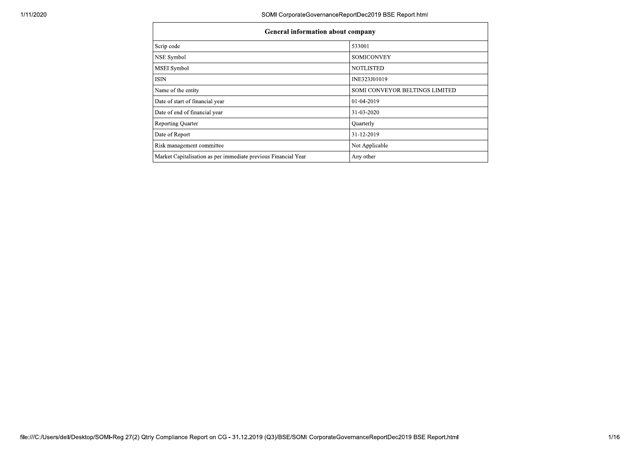| <b>General information about company</b>                       |                                |  |  |  |  |  |
|----------------------------------------------------------------|--------------------------------|--|--|--|--|--|
| Scrip code                                                     | 533001                         |  |  |  |  |  |
| NSE Symbol                                                     | <b>SOMICONVEY</b>              |  |  |  |  |  |
| MSEI Symbol                                                    | <b>NOTLISTED</b>               |  |  |  |  |  |
| <b>ISIN</b>                                                    | INE323J01019                   |  |  |  |  |  |
| Name of the entity                                             | SOMI CONVEYOR BELTINGS LIMITED |  |  |  |  |  |
| Date of start of financial year                                | 01-04-2019                     |  |  |  |  |  |
| Date of end of financial year                                  | 31-03-2020                     |  |  |  |  |  |
| <b>Reporting Quarter</b>                                       | Quarterly                      |  |  |  |  |  |
| Date of Report                                                 | 31-12-2019                     |  |  |  |  |  |
| Risk management committee                                      | Not Applicable                 |  |  |  |  |  |
| Market Capitalisation as per immediate previous Financial Year | Any other                      |  |  |  |  |  |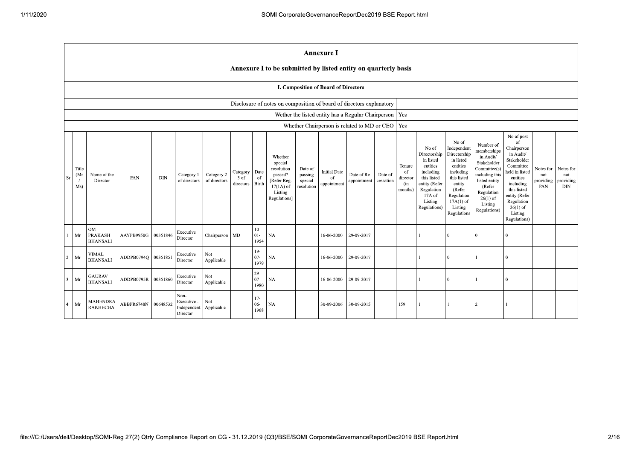|                |                                                                      |                                                |            |            |                                                |                            |                               |                                       |                                                                                                      |                                             | <b>Annexure I</b>                        |                                                          |                      |                                                       |                                                                                                                                                |                                                                                                                                                                      |                                                                                                                                                                          |                                                                                                                                                                                                            |                                      |                                             |
|----------------|----------------------------------------------------------------------|------------------------------------------------|------------|------------|------------------------------------------------|----------------------------|-------------------------------|---------------------------------------|------------------------------------------------------------------------------------------------------|---------------------------------------------|------------------------------------------|----------------------------------------------------------|----------------------|-------------------------------------------------------|------------------------------------------------------------------------------------------------------------------------------------------------|----------------------------------------------------------------------------------------------------------------------------------------------------------------------|--------------------------------------------------------------------------------------------------------------------------------------------------------------------------|------------------------------------------------------------------------------------------------------------------------------------------------------------------------------------------------------------|--------------------------------------|---------------------------------------------|
|                |                                                                      |                                                |            |            |                                                |                            |                               |                                       | Annexure I to be submitted by listed entity on quarterly basis                                       |                                             |                                          |                                                          |                      |                                                       |                                                                                                                                                |                                                                                                                                                                      |                                                                                                                                                                          |                                                                                                                                                                                                            |                                      |                                             |
|                |                                                                      | <b>I. Composition of Board of Directors</b>    |            |            |                                                |                            |                               |                                       |                                                                                                      |                                             |                                          |                                                          |                      |                                                       |                                                                                                                                                |                                                                                                                                                                      |                                                                                                                                                                          |                                                                                                                                                                                                            |                                      |                                             |
|                | Disclosure of notes on composition of board of directors explanatory |                                                |            |            |                                                |                            |                               |                                       |                                                                                                      |                                             |                                          |                                                          |                      |                                                       |                                                                                                                                                |                                                                                                                                                                      |                                                                                                                                                                          |                                                                                                                                                                                                            |                                      |                                             |
|                |                                                                      |                                                |            |            |                                                |                            |                               |                                       |                                                                                                      |                                             |                                          | Wether the listed entity has a Regular Chairperson   Yes |                      |                                                       |                                                                                                                                                |                                                                                                                                                                      |                                                                                                                                                                          |                                                                                                                                                                                                            |                                      |                                             |
|                |                                                                      |                                                |            |            |                                                |                            |                               |                                       |                                                                                                      |                                             |                                          | Whether Chairperson is related to MD or CEO   Yes        |                      |                                                       |                                                                                                                                                |                                                                                                                                                                      |                                                                                                                                                                          |                                                                                                                                                                                                            |                                      |                                             |
| <b>Sr</b>      | Title<br>(M <sub>I</sub> )<br>Ms)                                    | Name of the<br>Director                        | PAN        | <b>DIN</b> | Category 1<br>of directors                     | Category 2<br>of directors | Category<br>3 of<br>directors | Date<br><sub>of</sub><br><b>Birth</b> | Whether<br>special<br>resolution<br>passed?<br>[Refer Reg.<br>$17(1A)$ of<br>Listing<br>Regulations] | Date of<br>passing<br>special<br>resolution | <b>Initial Date</b><br>of<br>appointment | Date of Re-<br>appointment                               | Date of<br>cessation | Tenure<br><sup>of</sup><br>director<br>(in<br>months) | No of<br>Directorship<br>in listed<br>entities<br>including<br>this listed<br>entity (Refer<br>Regulation<br>17A of<br>Listing<br>Regulations) | No of<br>Independent<br>Directorship<br>in listed<br>entities<br>including<br>this listed<br>entity<br>(Refer<br>Regulation<br>$17A(1)$ of<br>Listing<br>Regulations | Number of<br>memberships<br>in Audit/<br>Stakeholder<br>Committee(s)<br>including this<br>listed entity<br>(Refer<br>Regulation<br>$26(1)$ of<br>Listing<br>Regulations) | No of post<br>of<br>Chairperson<br>in Audit/<br>Stakeholder<br>Committee<br>held in listed<br>entities<br>including<br>this listed<br>entity (Refer<br>Regulation<br>$26(1)$ of<br>Listing<br>Regulations) | Notes for<br>not<br>providing<br>PAN | Notes for<br>not<br>providing<br><b>DIN</b> |
|                | Mr                                                                   | <b>OM</b><br><b>PRAKASH</b><br><b>BHANSALI</b> | AAYPB9950G | 00351846   | Executive<br>Director                          | Chairperson MD             |                               | $10-$<br>$01 -$<br>1954               | <b>NA</b>                                                                                            |                                             | 16-06-2000                               | 29-09-2017                                               |                      |                                                       |                                                                                                                                                | $\theta$                                                                                                                                                             | $\theta$                                                                                                                                                                 | $\mathbf{0}$                                                                                                                                                                                               |                                      |                                             |
| $2^{\circ}$    | Mr                                                                   | <b>VIMAL</b><br><b>BHANSALI</b>                | ADDPB0794O | 00351851   | Executive<br>Director                          | Not<br>Applicable          |                               | $19-$<br>$07 -$<br>1979               | <b>NA</b>                                                                                            |                                             | 16-06-2000                               | 29-09-2017                                               |                      |                                                       |                                                                                                                                                | $\theta$                                                                                                                                                             | $\mathbf{1}$                                                                                                                                                             | $\overline{0}$                                                                                                                                                                                             |                                      |                                             |
| $\overline{3}$ | Mr                                                                   | <b>GAURAV</b><br><b>BHANSALI</b>               | ADDPB0795R | 00351860   | Executive<br>Director                          | Not<br>Applicable          |                               | $29-$<br>$07 -$<br>1980               | <b>NA</b>                                                                                            |                                             | 16-06-2000                               | 29-09-2017                                               |                      |                                                       |                                                                                                                                                | $\mathbf{0}$                                                                                                                                                         | $\mathbf{1}$                                                                                                                                                             | $\overline{0}$                                                                                                                                                                                             |                                      |                                             |
| $\overline{4}$ | Mr                                                                   | <b>MAHENDRA</b><br><b>RAKHECHA</b>             | ABBPR6748N | 00648532   | Non-<br>Executive -<br>Independent<br>Director | Not<br>Applicable          |                               | $17-$<br>$06 -$<br>1968               | <b>NA</b>                                                                                            |                                             | 30-09-2006                               | 30-09-2015                                               |                      | 159                                                   |                                                                                                                                                |                                                                                                                                                                      | $\overline{2}$                                                                                                                                                           | $\mathbf{1}$                                                                                                                                                                                               |                                      |                                             |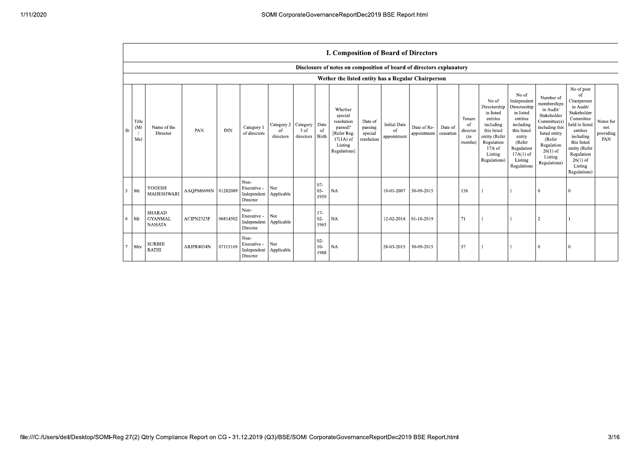|             |                                   |                                                  |                     |            |                                                |                                |                               |                          | <b>I. Composition of Board of Directors</b>                                                          |                                             |                                          |                            |                      |                                            |                                                                                                                                                |                                                                                                                                                                      |                                                                                                                                                                          |                                                                                                                                                                                                            |                                      |
|-------------|-----------------------------------|--------------------------------------------------|---------------------|------------|------------------------------------------------|--------------------------------|-------------------------------|--------------------------|------------------------------------------------------------------------------------------------------|---------------------------------------------|------------------------------------------|----------------------------|----------------------|--------------------------------------------|------------------------------------------------------------------------------------------------------------------------------------------------|----------------------------------------------------------------------------------------------------------------------------------------------------------------------|--------------------------------------------------------------------------------------------------------------------------------------------------------------------------|------------------------------------------------------------------------------------------------------------------------------------------------------------------------------------------------------------|--------------------------------------|
|             |                                   |                                                  |                     |            |                                                |                                |                               |                          | Disclosure of notes on composition of board of directors explanatory                                 |                                             |                                          |                            |                      |                                            |                                                                                                                                                |                                                                                                                                                                      |                                                                                                                                                                          |                                                                                                                                                                                                            |                                      |
|             |                                   |                                                  |                     |            |                                                |                                |                               |                          | Wether the listed entity has a Regular Chairperson                                                   |                                             |                                          |                            |                      |                                            |                                                                                                                                                |                                                                                                                                                                      |                                                                                                                                                                          |                                                                                                                                                                                                            |                                      |
| Sr          | Title<br>(M <sub>I</sub> )<br>Ms) | Name of the<br>Director                          | PAN                 | <b>DIN</b> | Category 1<br>of directors                     | Category 2<br>-of<br>directors | Category<br>3 of<br>directors | Date<br>of<br>Birth      | Whether<br>special<br>resolution<br>passed?<br>[Refer Reg.<br>$17(1A)$ of<br>Listing<br>Regulations] | Date of<br>passing<br>special<br>resolution | <b>Initial Date</b><br>of<br>appointment | Date of Re-<br>appointment | Date of<br>cessation | Tenure<br>of<br>director<br>(in<br>months) | No of<br>Directorship<br>in listed<br>entities<br>including<br>this listed<br>entity (Refer<br>Regulation<br>17A of<br>Listing<br>Regulations) | No of<br>Independent<br>Directorship<br>in listed<br>entities<br>including<br>this listed<br>entity<br>(Refer<br>Regulation<br>$17A(1)$ of<br>Listing<br>Regulations | Number of<br>memberships<br>in Audit/<br>Stakeholder<br>Committee(s)<br>including this<br>listed entity<br>(Refer<br>Regulation<br>$26(1)$ of<br>Listing<br>Regulations) | No of post<br>of<br>Chairperson<br>in Audit/<br>Stakeholder<br>Committee<br>held in listed<br>entities<br>including<br>this listed<br>entity (Refer<br>Regulation<br>$26(1)$ of<br>Listing<br>Regulations) | Notes for<br>not<br>providing<br>PAN |
| $5^{\circ}$ | Mr                                | <b>YOGESH</b><br>MAHESHWARI                      | AAQPM6696N 01202089 |            | Non-<br>Executive -<br>Independent<br>Director | Not<br>Applicable              |                               | $07 -$<br>$05 -$<br>1959 | NA                                                                                                   |                                             | 10-01-2007                               | 30-09-2015                 |                      | 156                                        |                                                                                                                                                |                                                                                                                                                                      | l O                                                                                                                                                                      | $\Omega$                                                                                                                                                                                                   |                                      |
|             | $6$ Mr                            | <b>SHARAD</b><br><b>GYANMAL</b><br><b>NAHATA</b> | ACIPN2323F          | 06814502   | Non-<br>Executive -<br>Independent<br>Director | Not<br>Applicable              |                               | $17-$<br>$02 -$<br>1965  | <b>NA</b>                                                                                            |                                             | 12-02-2014                               | $01-10-2019$               |                      | 71                                         |                                                                                                                                                |                                                                                                                                                                      |                                                                                                                                                                          |                                                                                                                                                                                                            |                                      |
| .7          | Mrs                               | <b>SURBHI</b><br><b>RATHI</b>                    | ARIPR4034N          | 07115169   | Non-<br>Executive -<br>Independent<br>Director | Not<br>Applicable              |                               | $02 -$<br>$10-$<br>1988  | NA                                                                                                   |                                             | 28-03-2015                               | 30-09-2015                 |                      | 57                                         |                                                                                                                                                |                                                                                                                                                                      |                                                                                                                                                                          |                                                                                                                                                                                                            |                                      |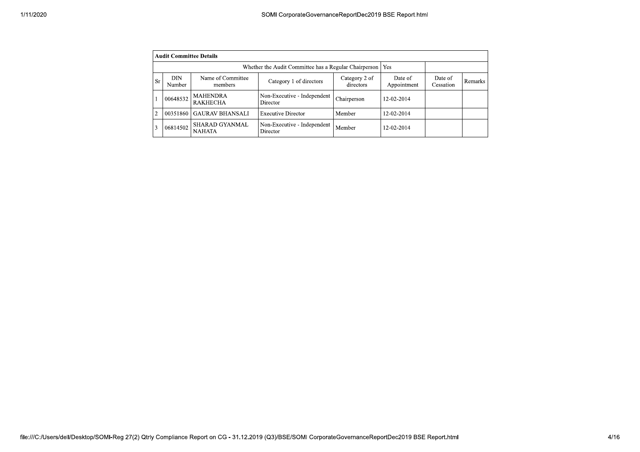| 1/11/2020 |                |                                                             |                                        | SOMI CorporateGovernanceReportDec2019 BSE Report.html |                            |                        |                      |         |
|-----------|----------------|-------------------------------------------------------------|----------------------------------------|-------------------------------------------------------|----------------------------|------------------------|----------------------|---------|
|           |                |                                                             |                                        |                                                       |                            |                        |                      |         |
|           |                | <b>Audit Committee Details</b>                              |                                        |                                                       |                            |                        |                      |         |
|           |                | Whether the Audit Committee has a Regular Chairperson   Yes |                                        |                                                       |                            |                        |                      |         |
|           | <b>Sr</b>      | <b>DIN</b><br>Number                                        | Name of Committee<br>members           | Category 1 of directors                               | Category 2 of<br>directors | Date of<br>Appointment | Date of<br>Cessation | Remarks |
|           |                | 00648532                                                    | <b>MAHENDRA</b><br><b>RAKHECHA</b>     | Non-Executive - Independent<br>Director               | Chairperson                | 12-02-2014             |                      |         |
|           | $\overline{2}$ |                                                             | 00351860 GAURAV BHANSALI               | <b>Executive Director</b>                             | Member                     | 12-02-2014             |                      |         |
|           | 3              | 06814502                                                    | <b>SHARAD GYANMAL</b><br><b>NAHATA</b> | Non-Executive - Independent<br>Director               | $\operatorname{Member}$    | 12-02-2014             |                      |         |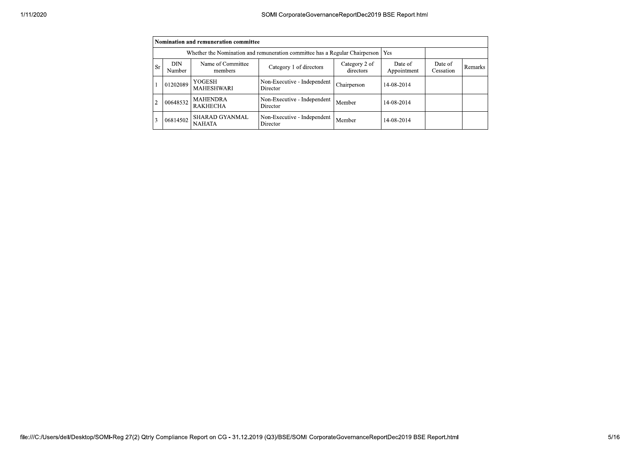|    |                                                                                   | Nomination and remuneration committee  |                                         |                            |                        |                      |                |
|----|-----------------------------------------------------------------------------------|----------------------------------------|-----------------------------------------|----------------------------|------------------------|----------------------|----------------|
|    | Whether the Nomination and remuneration committee has a Regular Chairperson   Yes |                                        |                                         |                            |                        |                      |                |
| Sr | DIN<br>Number                                                                     | Name of Committee<br>members           | Category 1 of directors                 | Category 2 of<br>directors | Date of<br>Appointment | Date of<br>Cessation | <b>Remarks</b> |
|    | 01202089                                                                          | YOGESH<br><b>MAHESHWARI</b>            | Non-Executive - Independent<br>Director | Chairperson                | 14-08-2014             |                      |                |
|    | 00648532                                                                          | <b>MAHENDRA</b><br><b>RAKHECHA</b>     | Non-Executive - Independent<br>Director | Member                     | 14-08-2014             |                      |                |
| 3  | 06814502                                                                          | <b>SHARAD GYANMAL</b><br><b>NAHATA</b> | Non-Executive - Independent<br>Director | Member                     | 14-08-2014             |                      |                |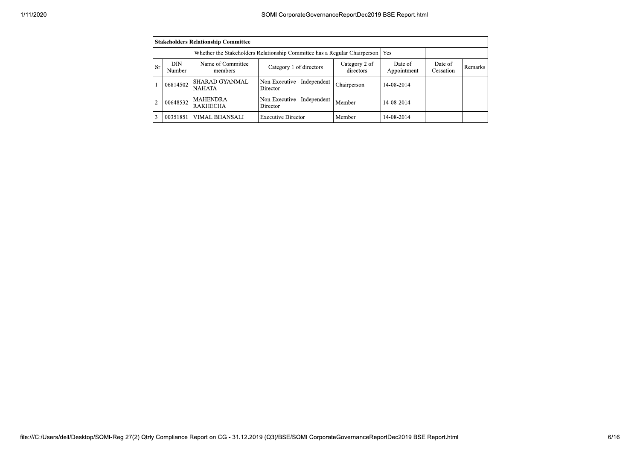|                | <b>Stakeholders Relationship Committee</b> |                                                                                 |                                         |                            |                        |                      |         |  |  |  |
|----------------|--------------------------------------------|---------------------------------------------------------------------------------|-----------------------------------------|----------------------------|------------------------|----------------------|---------|--|--|--|
|                |                                            | Whether the Stakeholders Relationship Committee has a Regular Chairperson   Yes |                                         |                            |                        |                      |         |  |  |  |
| <b>Sr</b>      | DIN.<br>Number                             | Name of Committee<br>members                                                    | Category 1 of directors                 | Category 2 of<br>directors | Date of<br>Appointment | Date of<br>Cessation | Remarks |  |  |  |
|                | 06814502                                   | <b>SHARAD GYANMAL</b><br><b>NAHATA</b>                                          | Non-Executive - Independent<br>Director | Chairperson                | 14-08-2014             |                      |         |  |  |  |
| $\overline{2}$ | 00648532                                   | <b>MAHENDRA</b><br><b>RAKHECHA</b>                                              | Non-Executive - Independent<br>Director | Member                     | 14-08-2014             |                      |         |  |  |  |
| 3              | 00351851                                   | VIMAL BHANSALI                                                                  | <b>Executive Director</b>               | Member                     | 14-08-2014             |                      |         |  |  |  |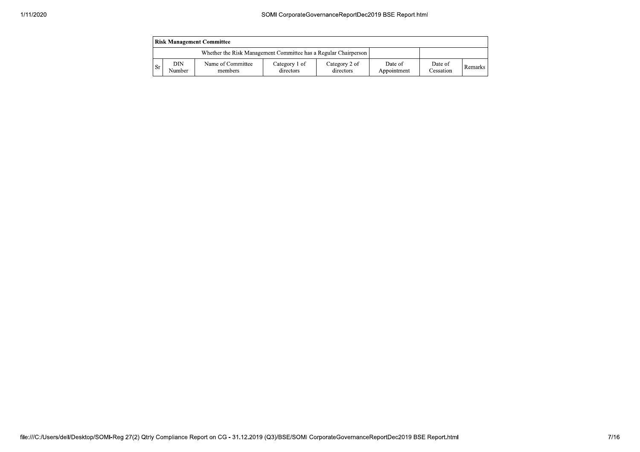|     | <b>Risk Management Committee</b> |                                                                 |                            |                            |                        |                      |                |  |  |
|-----|----------------------------------|-----------------------------------------------------------------|----------------------------|----------------------------|------------------------|----------------------|----------------|--|--|
|     |                                  | Whether the Risk Management Committee has a Regular Chairperson |                            |                            |                        |                      |                |  |  |
| -Sr | DIN<br>Number                    | Name of Committee<br>members                                    | Category 1 of<br>directors | Category 2 of<br>directors | Date of<br>Appointment | Date of<br>Cessation | <b>Remarks</b> |  |  |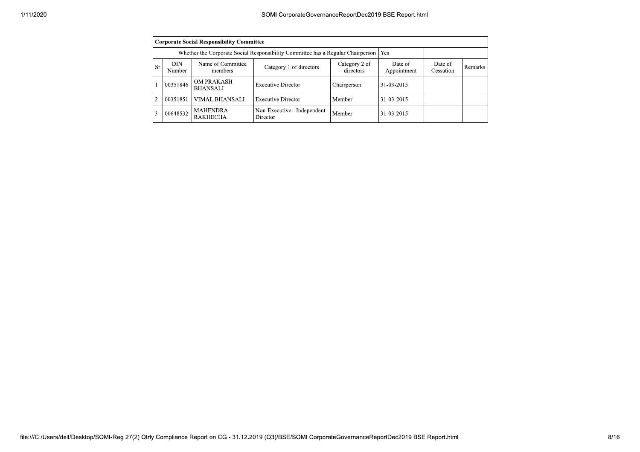|    |                                                                                 | <b>Corporate Social Responsibility Committee</b> |                                         |                            |                        |                      |         |
|----|---------------------------------------------------------------------------------|--------------------------------------------------|-----------------------------------------|----------------------------|------------------------|----------------------|---------|
|    | Whether the Corporate Social Responsibility Committee has a Regular Chairperson |                                                  |                                         |                            |                        |                      |         |
| Sr | DIN<br>Number                                                                   | Name of Committee<br>members                     | Category 1 of directors                 | Category 2 of<br>directors | Date of<br>Appointment | Date of<br>Cessation | Remarks |
|    | 00351846                                                                        | <b>OM PRAKASH</b><br><b>BHANSALI</b>             | <b>Executive Director</b>               | Chairperson                | 31-03-2015             |                      |         |
| 2  | 00351851                                                                        | VIMAL BHANSALI                                   | <b>Executive Director</b>               | Member                     | 31-03-2015             |                      |         |
| 3  | 00648532                                                                        | <b>MAHENDRA</b><br><b>RAKHECHA</b>               | Non-Executive - Independent<br>Director | Member                     | 31-03-2015             |                      |         |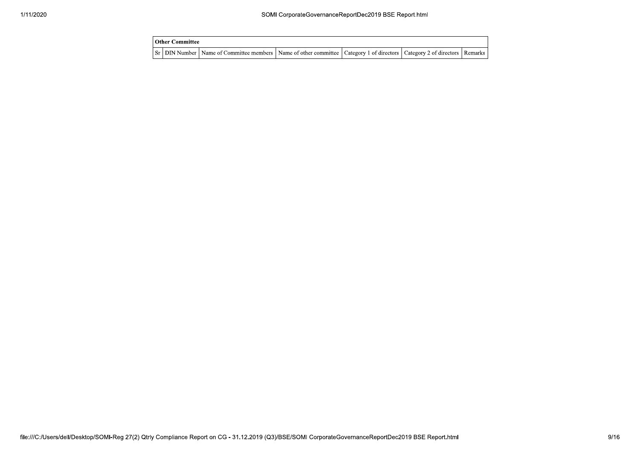| l Other Committee |                                                                                                                                     |  |  |
|-------------------|-------------------------------------------------------------------------------------------------------------------------------------|--|--|
|                   | Sr   DIN Number   Name of Committee members   Name of other committee   Category 1 of directors   Category 2 of directors   Remarks |  |  |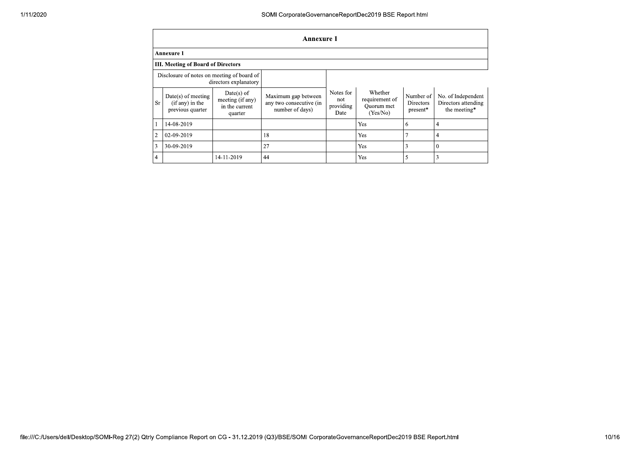|                | <b>Annexure 1</b>                                           |                                                             |                                                                   |                                       |                                                     |                                    |                                                           |  |  |
|----------------|-------------------------------------------------------------|-------------------------------------------------------------|-------------------------------------------------------------------|---------------------------------------|-----------------------------------------------------|------------------------------------|-----------------------------------------------------------|--|--|
|                | Annexure 1                                                  |                                                             |                                                                   |                                       |                                                     |                                    |                                                           |  |  |
|                | <b>III. Meeting of Board of Directors</b>                   |                                                             |                                                                   |                                       |                                                     |                                    |                                                           |  |  |
|                | Disclosure of notes on meeting of board of                  | directors explanatory                                       |                                                                   |                                       |                                                     |                                    |                                                           |  |  |
| <b>Sr</b>      | $Date(s)$ of meeting<br>(if any) in the<br>previous quarter | Date(s) of<br>meeting (if any)<br>in the current<br>quarter | Maximum gap between<br>any two consecutive (in<br>number of days) | Notes for<br>not<br>providing<br>Date | Whether<br>requirement of<br>Quorum met<br>(Yes/No) | Number of<br>Directors<br>present* | No. of Independent<br>Directors attending<br>the meeting* |  |  |
|                | 14-08-2019                                                  |                                                             |                                                                   |                                       | Yes                                                 | 6                                  | 4                                                         |  |  |
| $\overline{c}$ | 02-09-2019                                                  |                                                             | 18                                                                |                                       | Yes                                                 | o                                  | 4                                                         |  |  |
| 3              | 30-09-2019                                                  |                                                             | 27                                                                |                                       | Yes                                                 | 3                                  | $\Omega$                                                  |  |  |
| 4              |                                                             | 14-11-2019                                                  | 44                                                                |                                       | Yes                                                 | 5                                  | 3                                                         |  |  |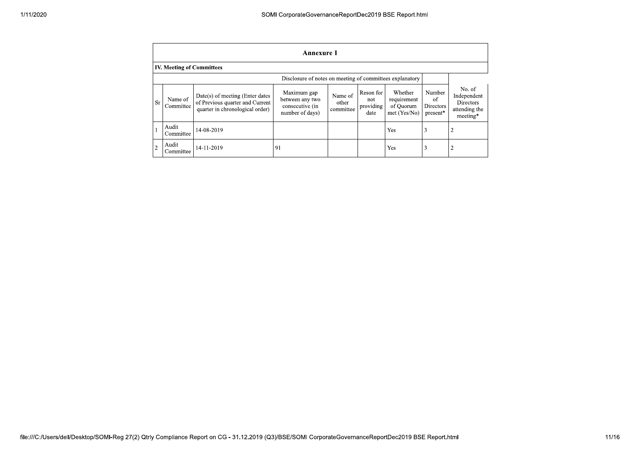|                | <b>Annexure 1</b>                                        |                                                                                                         |                                                                      |                               |                                       |                                                     |                                       |                                                                        |  |  |
|----------------|----------------------------------------------------------|---------------------------------------------------------------------------------------------------------|----------------------------------------------------------------------|-------------------------------|---------------------------------------|-----------------------------------------------------|---------------------------------------|------------------------------------------------------------------------|--|--|
|                | <b>IV. Meeting of Committees</b>                         |                                                                                                         |                                                                      |                               |                                       |                                                     |                                       |                                                                        |  |  |
|                | Disclosure of notes on meeting of committees explanatory |                                                                                                         |                                                                      |                               |                                       |                                                     |                                       |                                                                        |  |  |
| <b>Sr</b>      | Name of<br>Committee                                     | $Date(s)$ of meeting (Enter dates<br>of Previous quarter and Current<br>quarter in chronological order) | Maximum gap<br>between any two<br>consecutive (in<br>number of days) | Name of<br>other<br>committee | Reson for<br>not<br>providing<br>date | Whether<br>requirement<br>of Ouorum<br>met (Yes/No) | Number<br>of<br>Directors<br>present* | No. of<br>Independent<br><b>Directors</b><br>attending the<br>meeting* |  |  |
|                | Audit<br>Committee                                       | 14-08-2019                                                                                              |                                                                      |                               |                                       | Yes                                                 | 3                                     | 2                                                                      |  |  |
| $\overline{2}$ | Audit<br>Committee                                       | 14-11-2019                                                                                              | 91                                                                   |                               |                                       | Yes                                                 | 3                                     | 2                                                                      |  |  |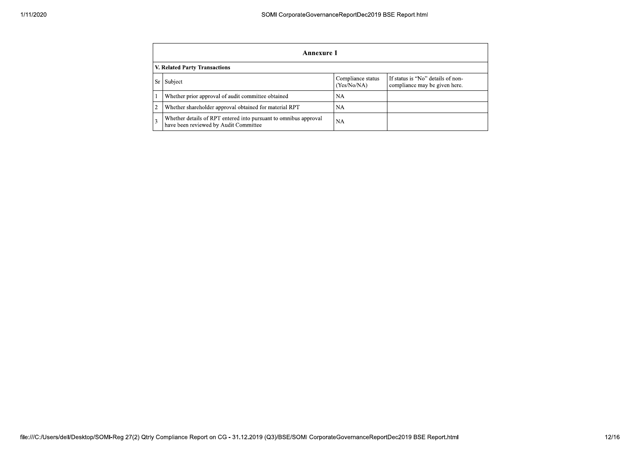|     | Annexure 1                                                                                                |                                  |                                                                    |  |  |  |  |  |  |
|-----|-----------------------------------------------------------------------------------------------------------|----------------------------------|--------------------------------------------------------------------|--|--|--|--|--|--|
|     | V. Related Party Transactions                                                                             |                                  |                                                                    |  |  |  |  |  |  |
| Sr. | Subject                                                                                                   | Compliance status<br>(Yes/No/NA) | If status is "No" details of non-<br>compliance may be given here. |  |  |  |  |  |  |
|     | Whether prior approval of audit committee obtained                                                        | NA                               |                                                                    |  |  |  |  |  |  |
| 2   | Whether shareholder approval obtained for material RPT                                                    | NА                               |                                                                    |  |  |  |  |  |  |
| 3   | Whether details of RPT entered into pursuant to omnibus approval<br>have been reviewed by Audit Committee | NA                               |                                                                    |  |  |  |  |  |  |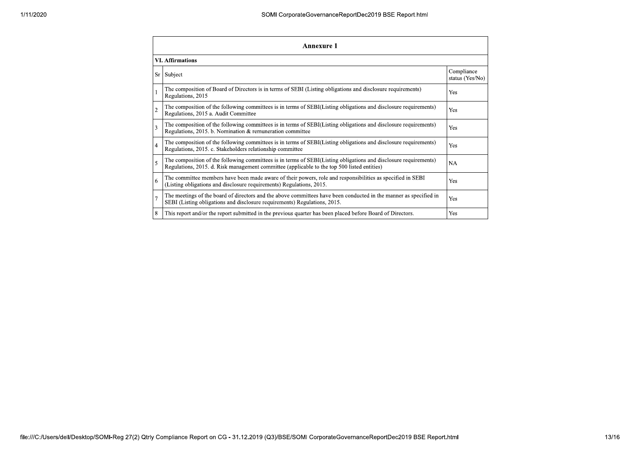| <b>Annexure 1</b>       |                                                                                                                                                                                                                 |                               |  |  |
|-------------------------|-----------------------------------------------------------------------------------------------------------------------------------------------------------------------------------------------------------------|-------------------------------|--|--|
| <b>VI.</b> Affirmations |                                                                                                                                                                                                                 |                               |  |  |
|                         | Sr Subject                                                                                                                                                                                                      | Compliance<br>status (Yes/No) |  |  |
|                         | The composition of Board of Directors is in terms of SEBI (Listing obligations and disclosure requirements)<br>Regulations, 2015                                                                                | Yes                           |  |  |
| $\overline{c}$          | The composition of the following committees is in terms of SEBI(Listing obligations and disclosure requirements)<br>Regulations, 2015 a. Audit Committee                                                        | Yes                           |  |  |
| 3                       | The composition of the following committees is in terms of SEBI(Listing obligations and disclosure requirements)<br>Regulations, 2015. b. Nomination & remuneration committee                                   | Yes                           |  |  |
| $\overline{4}$          | The composition of the following committees is in terms of SEBI(Listing obligations and disclosure requirements)<br>Regulations, 2015. c. Stakeholders relationship committee                                   | Yes                           |  |  |
| 5                       | The composition of the following committees is in terms of SEBI(Listing obligations and disclosure requirements)<br>Regulations, 2015. d. Risk management committee (applicable to the top 500 listed entities) | NA                            |  |  |
| 6                       | The committee members have been made aware of their powers, role and responsibilities as specified in SEBI<br>(Listing obligations and disclosure requirements) Regulations, 2015.                              | Yes                           |  |  |
| $\overline{7}$          | The meetings of the board of directors and the above committees have been conducted in the manner as specified in<br>SEBI (Listing obligations and disclosure requirements) Regulations, 2015.                  | Yes                           |  |  |
| 8                       | This report and/or the report submitted in the previous quarter has been placed before Board of Directors.                                                                                                      | Yes                           |  |  |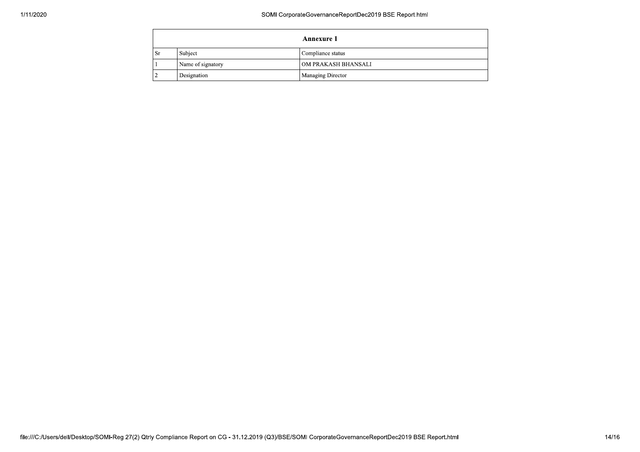|    | Annexure 1        |                     |  |
|----|-------------------|---------------------|--|
| Sr | Subject           | Compliance status   |  |
|    | Name of signatory | OM PRAKASH BHANSALI |  |
|    | Designation       | Managing Director   |  |